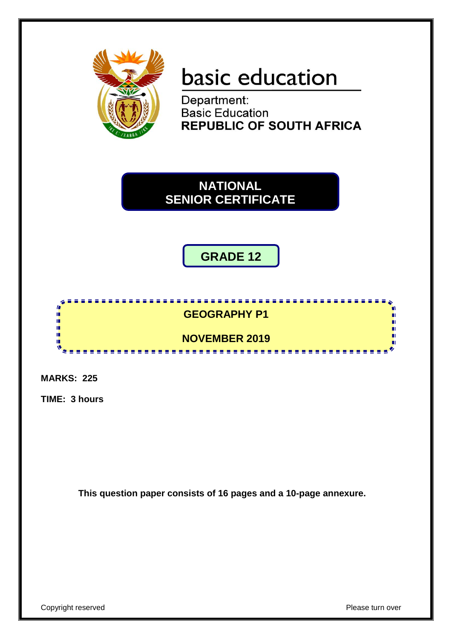

# basic education

Department: **Basic Education REPUBLIC OF SOUTH AFRICA** 

**NATIONAL SENIOR CERTIFICATE**

# **GRADE 12**

# **GEOGRAPHY P1**

<u>. . . . . . . . . . . . . . . . .</u>

**NOVEMBER 2019** <u>....................</u>

**MARKS: 225**

 $\mathbf{r}$ ۱<mark>,</mark>

ú,

ú, m,  $\mathbf{v}$ 

**TIME: 3 hours**

**This question paper consists of 16 pages and a 10-page annexure.**

m

п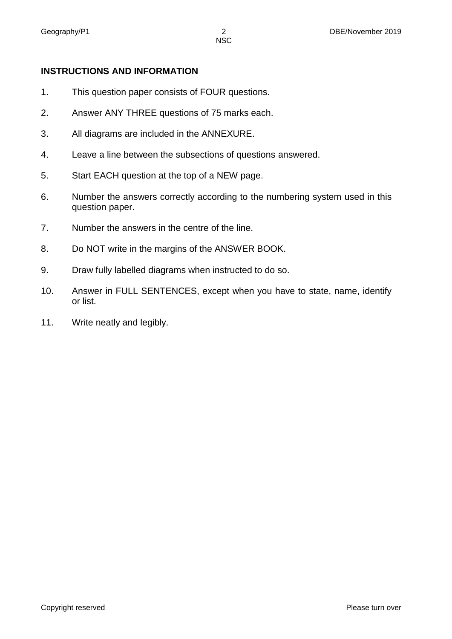# **INSTRUCTIONS AND INFORMATION**

- 1. This question paper consists of FOUR questions.
- 2. Answer ANY THREE questions of 75 marks each.
- 3. All diagrams are included in the ANNEXURE.
- 4. Leave a line between the subsections of questions answered.
- 5. Start EACH question at the top of a NEW page.
- 6. Number the answers correctly according to the numbering system used in this question paper.
- 7. Number the answers in the centre of the line.
- 8. Do NOT write in the margins of the ANSWER BOOK.
- 9. Draw fully labelled diagrams when instructed to do so.
- 10. Answer in FULL SENTENCES, except when you have to state, name, identify or list.
- 11. Write neatly and legibly.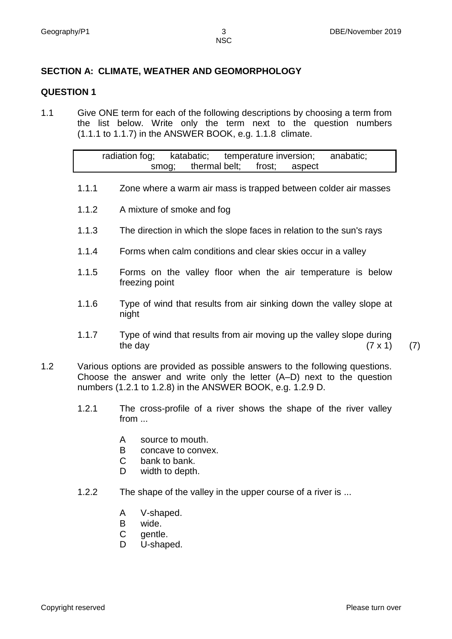# **SECTION A: CLIMATE, WEATHER AND GEOMORPHOLOGY**

### **QUESTION 1**

1.1 Give ONE term for each of the following descriptions by choosing a term from the list below. Write only the term next to the question numbers (1.1.1 to 1.1.7) in the ANSWER BOOK, e.g. 1.1.8 climate.

| radiation fog; |       | katabatic;                  |  | temperature inversion; | anabatic: |  |
|----------------|-------|-----------------------------|--|------------------------|-----------|--|
|                | smog: | thermal belt; frost; aspect |  |                        |           |  |

- 1.1.1 Zone where a warm air mass is trapped between colder air masses
- 1.1.2 A mixture of smoke and fog
- 1.1.3 The direction in which the slope faces in relation to the sun's rays
- 1.1.4 Forms when calm conditions and clear skies occur in a valley
- 1.1.5 Forms on the valley floor when the air temperature is below freezing point
- 1.1.6 Type of wind that results from air sinking down the valley slope at night
- 1.1.7 Type of wind that results from air moving up the valley slope during the day  $(7 \times 1)$  (7)
- 1.2 Various options are provided as possible answers to the following questions. Choose the answer and write only the letter (A–D) next to the question numbers (1.2.1 to 1.2.8) in the ANSWER BOOK, e.g. 1.2.9 D.
	- 1.2.1 The cross-profile of a river shows the shape of the river valley from ...
		- A source to mouth.
		- B concave to convex.
		- $\mathcal{C}$ bank to bank.
		- D. width to depth.
	- 1.2.2 The shape of the valley in the upper course of a river is ...
		- A V-shaped.
		- B wide.
		- C gentle.
		- D U-shaped.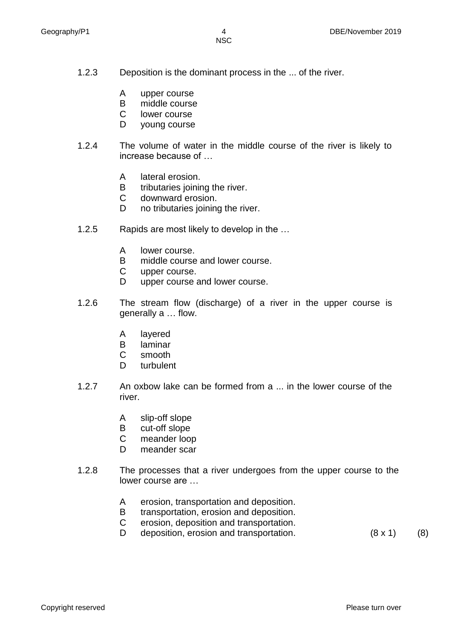- 1.2.3 Deposition is the dominant process in the ... of the river.
	- A upper course
	- B middle course
	- C lower course
	- D young course
- 1.2.4 The volume of water in the middle course of the river is likely to increase because of …
	- A lateral erosion.
	- B tributaries joining the river.
	- $\mathcal{C}$ downward erosion.
	- D no tributaries joining the river.
- 1.2.5 Rapids are most likely to develop in the …
	- A lower course.
	- B middle course and lower course.
	- $\mathsf{C}$ upper course.
	- D. upper course and lower course.
- 1.2.6 The stream flow (discharge) of a river in the upper course is generally a … flow.
	- A layered
	- B laminar
	- C smooth
	- D. turbulent
- 1.2.7 An oxbow lake can be formed from a ... in the lower course of the river.
	- A slip-off slope
	- B cut-off slope
	- $\mathbf C$ meander loop
	- D. meander scar
- 1.2.8 The processes that a river undergoes from the upper course to the lower course are …
	- A erosion, transportation and deposition.
	- B transportation, erosion and deposition.
	- C erosion, deposition and transportation.
	- D deposition, erosion and transportation. (8 x 1) (8)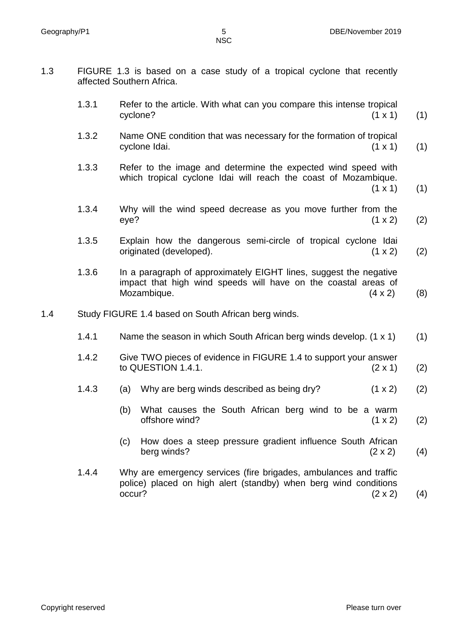- 1.3 FIGURE 1.3 is based on a case study of a tropical cyclone that recently affected Southern Africa.
	- 1.3.1 Refer to the article. With what can you compare this intense tropical  $cyclone?$  (1 x 1) (1)
	- 1.3.2 Name ONE condition that was necessary for the formation of tropical cyclone Idai.  $(1 \times 1)$  (1)
	- 1.3.3 Refer to the image and determine the expected wind speed with which tropical cyclone Idai will reach the coast of Mozambique.  $(1 \times 1)$  (1)
	- 1.3.4 Why will the wind speed decrease as you move further from the eye? (1 x 2) (2)
	- 1.3.5 Explain how the dangerous semi-circle of tropical cyclone Idai originated (developed). (1 x 2) (2)
	- 1.3.6 In a paragraph of approximately EIGHT lines, suggest the negative impact that high wind speeds will have on the coastal areas of Mozambique.  $(4 \times 2)$  (8)
- 1.4 Study FIGURE 1.4 based on South African berg winds.
	- 1.4.1 Name the season in which South African berg winds develop. (1 x 1) (1)
	- 1.4.2 Give TWO pieces of evidence in FIGURE 1.4 to support your answer to QUESTION 1.4.1. (2 x 1) (2)
	- 1.4.3 (a) Why are berg winds described as being dry? (1 x 2) (2)
		- (b) What causes the South African berg wind to be a warm offshore wind?  $(1 \times 2)$  (2)
		- (c) How does a steep pressure gradient influence South African berg winds?  $(2 \times 2)$  (4)
	- 1.4.4 Why are emergency services (fire brigades, ambulances and traffic police) placed on high alert (standby) when berg wind conditions occur?  $(2 \times 2)$  (4)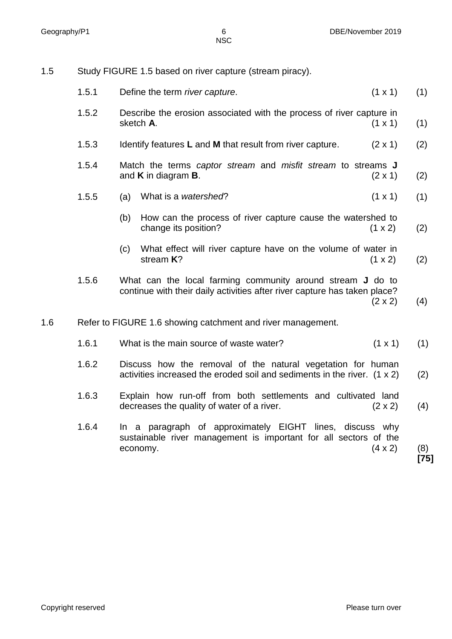# 1.5 Study FIGURE 1.5 based on river capture (stream piracy).

|     | 1.5.1 |     | Define the term river capture.                                                                                                                 | $(1 \times 1)$ | (1)           |
|-----|-------|-----|------------------------------------------------------------------------------------------------------------------------------------------------|----------------|---------------|
|     | 1.5.2 |     | Describe the erosion associated with the process of river capture in<br>sketch A.                                                              | $(1 \times 1)$ | (1)           |
|     | 1.5.3 |     | Identify features L and M that result from river capture.                                                                                      | $(2 \times 1)$ | (2)           |
|     | 1.5.4 |     | Match the terms captor stream and misfit stream to streams J<br>and $K$ in diagram $B$ .                                                       | $(2 \times 1)$ | (2)           |
|     | 1.5.5 | (a) | What is a watershed?                                                                                                                           | $(1 \times 1)$ | (1)           |
|     |       | (b) | How can the process of river capture cause the watershed to<br>change its position?                                                            | $(1 \times 2)$ | (2)           |
|     |       | (c) | What effect will river capture have on the volume of water in<br>stream $K$ ?                                                                  | (1 x 2)        | (2)           |
|     | 1.5.6 |     | What can the local farming community around stream <b>J</b> do to<br>continue with their daily activities after river capture has taken place? | $(2 \times 2)$ | (4)           |
| 1.6 |       |     | Refer to FIGURE 1.6 showing catchment and river management.                                                                                    |                |               |
|     | 1.6.1 |     | What is the main source of waste water?                                                                                                        | $(1 \times 1)$ | (1)           |
|     | 1.6.2 |     | Discuss how the removal of the natural vegetation for human<br>activities increased the eroded soil and sediments in the river. $(1 \times 2)$ |                | (2)           |
|     | 1.6.3 |     | Explain how run-off from both settlements and cultivated land<br>decreases the quality of water of a river.                                    | $(2 \times 2)$ | (4)           |
|     | 1.6.4 |     | In a paragraph of approximately EIGHT lines, discuss why<br>sustainable river management is important for all sectors of the<br>economy.       | $(4 \times 2)$ | (8)<br>$[75]$ |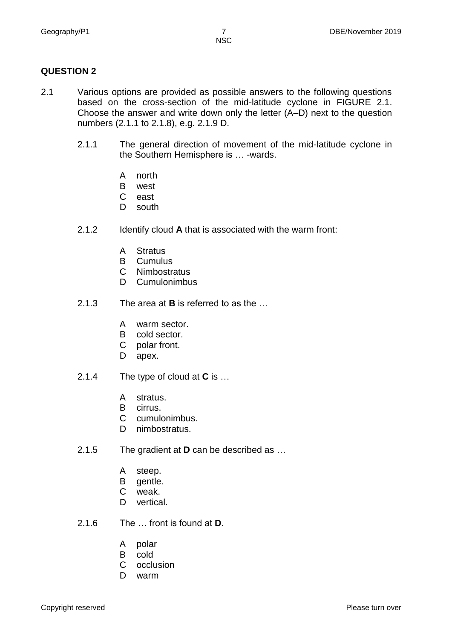# **QUESTION 2**

- 2.1 Various options are provided as possible answers to the following questions based on the cross-section of the mid-latitude cyclone in FIGURE 2.1. Choose the answer and write down only the letter (A–D) next to the question numbers (2.1.1 to 2.1.8), e.g. 2.1.9 D.
	- 2.1.1 The general direction of movement of the mid-latitude cyclone in the Southern Hemisphere is … -wards.
		- A north
		- B west
		- $\mathcal{C}$ east
		- D south
	- 2.1.2 Identify cloud **A** that is associated with the warm front:
		- A **Stratus**
		- B Cumulus
		- $\mathsf{C}$ **Nimbostratus**
		- D Cumulonimbus
	- 2.1.3 The area at **B** is referred to as the …
		- A warm sector.
		- B cold sector.
		- C polar front.
		- D apex.
	- 2.1.4 The type of cloud at **C** is …
		- A stratus.
		- B cirrus.
		- C cumulonimbus.
		- D nimbostratus.
	- 2.1.5 The gradient at **D** can be described as …
		- A steep.
		- B gentle.
		- C weak.
		- D vertical.
	- 2.1.6 The … front is found at **D**.
		- A polar
		- B cold
		- C occlusion
		- D warm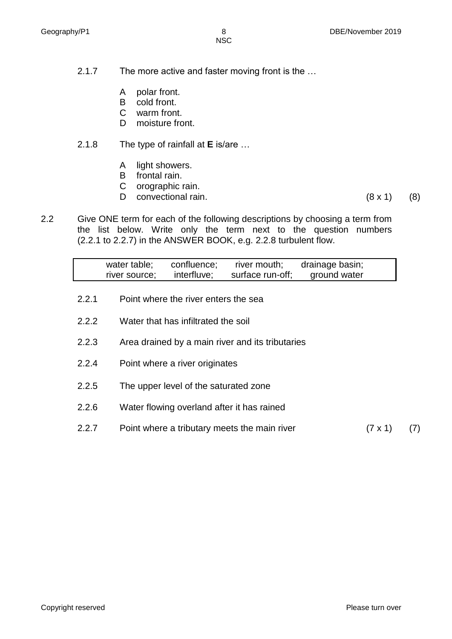- 2.1.7 The more active and faster moving front is the …
	- A polar front.
	- B cold front.
	- C warm front.
	- $D$ moisture front.
- 2.1.8 The type of rainfall at **E** is/are …
	- A light showers.
	- B frontal rain.
	- C orographic rain.
	- D convectional rain. (8 x 1) (8)
		-
- 2.2 Give ONE term for each of the following descriptions by choosing a term from the list below. Write only the term next to the question numbers (2.2.1 to 2.2.7) in the ANSWER BOOK, e.g. 2.2.8 turbulent flow.

| drainage basin;<br>water table;<br>confluence;<br>river mouth;<br>surface run-off;<br>interfluve;<br>ground water<br>river source;<br>2.2.1<br>Point where the river enters the sea<br>2.2.2<br>Water that has infiltrated the soil<br>2.2.3<br>Area drained by a main river and its tributaries<br>2.2.4<br>Point where a river originates<br>2.2.5<br>The upper level of the saturated zone<br>2.2.6<br>Water flowing overland after it has rained |  |  |  |  |
|------------------------------------------------------------------------------------------------------------------------------------------------------------------------------------------------------------------------------------------------------------------------------------------------------------------------------------------------------------------------------------------------------------------------------------------------------|--|--|--|--|
|                                                                                                                                                                                                                                                                                                                                                                                                                                                      |  |  |  |  |
|                                                                                                                                                                                                                                                                                                                                                                                                                                                      |  |  |  |  |
|                                                                                                                                                                                                                                                                                                                                                                                                                                                      |  |  |  |  |
|                                                                                                                                                                                                                                                                                                                                                                                                                                                      |  |  |  |  |
|                                                                                                                                                                                                                                                                                                                                                                                                                                                      |  |  |  |  |
|                                                                                                                                                                                                                                                                                                                                                                                                                                                      |  |  |  |  |
|                                                                                                                                                                                                                                                                                                                                                                                                                                                      |  |  |  |  |
| Point where a tributary meets the main river<br>2.2.7<br>$(7 \times 1)$                                                                                                                                                                                                                                                                                                                                                                              |  |  |  |  |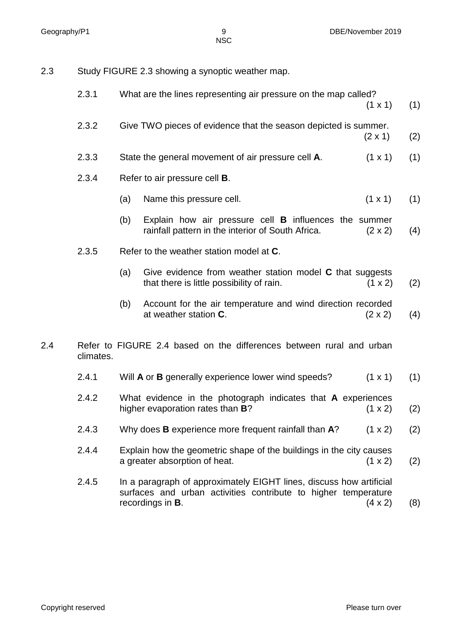| Study FIGURE 2.3 showing a synoptic weather map.<br>2.3 |  |
|---------------------------------------------------------|--|
|---------------------------------------------------------|--|

|     | 2.3.1     |     | What are the lines representing air pressure on the map called?                                                                                                   | (1 x 1)        | (1) |
|-----|-----------|-----|-------------------------------------------------------------------------------------------------------------------------------------------------------------------|----------------|-----|
|     | 2.3.2     |     | Give TWO pieces of evidence that the season depicted is summer.                                                                                                   | $(2 \times 1)$ | (2) |
|     | 2.3.3     |     | State the general movement of air pressure cell A.                                                                                                                | $(1 \times 1)$ | (1) |
|     | 2.3.4     |     | Refer to air pressure cell <b>B</b> .                                                                                                                             |                |     |
|     |           | (a) | Name this pressure cell.                                                                                                                                          | $(1 \times 1)$ | (1) |
|     |           | (b) | Explain how air pressure cell <b>B</b> influences the summer<br>rainfall pattern in the interior of South Africa.                                                 | $(2 \times 2)$ | (4) |
|     | 2.3.5     |     | Refer to the weather station model at C.                                                                                                                          |                |     |
|     |           | (a) | Give evidence from weather station model C that suggests<br>that there is little possibility of rain.                                                             | (1 x 2)        | (2) |
|     |           | (b) | Account for the air temperature and wind direction recorded<br>at weather station C.                                                                              | $(2 \times 2)$ | (4) |
| 2.4 | climates. |     | Refer to FIGURE 2.4 based on the differences between rural and urban                                                                                              |                |     |
|     | 2.4.1     |     | Will <b>A</b> or <b>B</b> generally experience lower wind speeds?                                                                                                 | $(1 \times 1)$ | (1) |
|     | 2.4.2     |     | What evidence in the photograph indicates that A experiences<br>higher evaporation rates than <b>B</b> ?                                                          | (1 x 2)        | (2) |
|     | 2.4.3     |     | Why does B experience more frequent rainfall than A?                                                                                                              | (1 x 2)        | (2) |
|     | 2.4.4     |     | Explain how the geometric shape of the buildings in the city causes<br>a greater absorption of heat.                                                              | (1 x 2)        | (2) |
|     | 2.4.5     |     | In a paragraph of approximately EIGHT lines, discuss how artificial<br>surfaces and urban activities contribute to higher temperature<br>recordings in <b>B</b> . | $(4 \times 2)$ | (8) |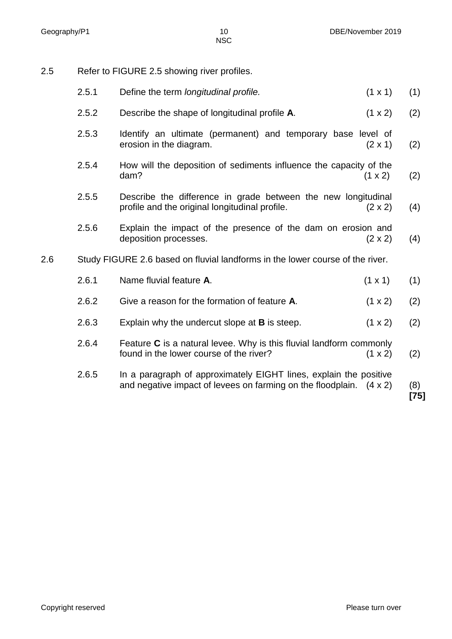2.5 Refer to FIGURE 2.5 showing river profiles.

|     | 2.5.1 | Define the term longitudinal profile.                                                                                                           | $(1 \times 1)$ | (1)           |
|-----|-------|-------------------------------------------------------------------------------------------------------------------------------------------------|----------------|---------------|
|     | 2.5.2 | Describe the shape of longitudinal profile A.                                                                                                   | $(1 \times 2)$ | (2)           |
|     | 2.5.3 | Identify an ultimate (permanent) and temporary base level of<br>erosion in the diagram.                                                         | $(2 \times 1)$ | (2)           |
|     | 2.5.4 | How will the deposition of sediments influence the capacity of the<br>dam?                                                                      | $(1 \times 2)$ | (2)           |
|     | 2.5.5 | Describe the difference in grade between the new longitudinal<br>profile and the original longitudinal profile.                                 | $(2 \times 2)$ | (4)           |
|     | 2.5.6 | Explain the impact of the presence of the dam on erosion and<br>deposition processes.                                                           | $(2 \times 2)$ | (4)           |
| 2.6 |       | Study FIGURE 2.6 based on fluvial landforms in the lower course of the river.                                                                   |                |               |
|     | 2.6.1 | Name fluvial feature A.                                                                                                                         | $(1 \times 1)$ | (1)           |
|     | 2.6.2 | Give a reason for the formation of feature A.                                                                                                   | (1 x 2)        | (2)           |
|     | 2.6.3 | Explain why the undercut slope at <b>B</b> is steep.                                                                                            | (1 x 2)        | (2)           |
|     | 2.6.4 | Feature $C$ is a natural levee. Why is this fluvial landform commonly<br>found in the lower course of the river?                                | $(1 \times 2)$ | (2)           |
|     | 2.6.5 | In a paragraph of approximately EIGHT lines, explain the positive<br>and negative impact of levees on farming on the floodplain. $(4 \times 2)$ |                | (8)<br>$[75]$ |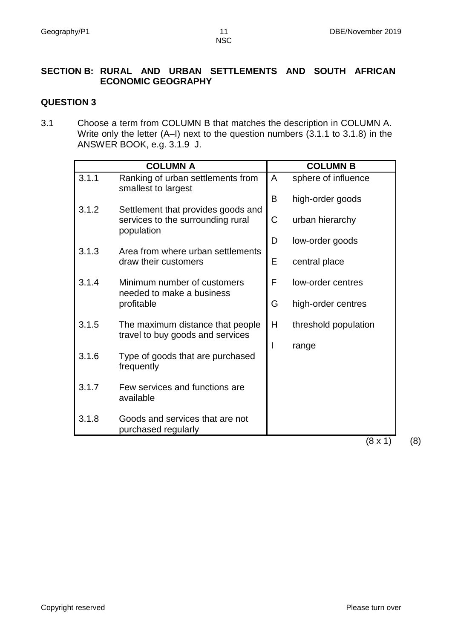# **SECTION B: RURAL AND URBAN SETTLEMENTS AND SOUTH AFRICAN ECONOMIC GEOGRAPHY**

# **QUESTION 3**

3.1 Choose a term from COLUMN B that matches the description in COLUMN A. Write only the letter (A–I) next to the question numbers (3.1.1 to 3.1.8) in the ANSWER BOOK, e.g. 3.1.9 J.

|       | <b>COLUMN A</b>                                                                       |   | <b>COLUMN B</b>      |
|-------|---------------------------------------------------------------------------------------|---|----------------------|
| 3.1.1 | Ranking of urban settlements from<br>smallest to largest                              | A | sphere of influence  |
|       |                                                                                       | B | high-order goods     |
| 3.1.2 | Settlement that provides goods and<br>services to the surrounding rural<br>population | C | urban hierarchy      |
|       |                                                                                       | D | low-order goods      |
| 3.1.3 | Area from where urban settlements<br>draw their customers                             | E | central place        |
| 3.1.4 | Minimum number of customers                                                           | F | low-order centres    |
|       | needed to make a business<br>profitable                                               | G | high-order centres   |
| 3.1.5 | The maximum distance that people                                                      | H | threshold population |
|       | travel to buy goods and services                                                      |   | range                |
| 3.1.6 | Type of goods that are purchased<br>frequently                                        |   |                      |
| 3.1.7 | Few services and functions are<br>available                                           |   |                      |
| 3.1.8 | Goods and services that are not<br>purchased regularly                                |   |                      |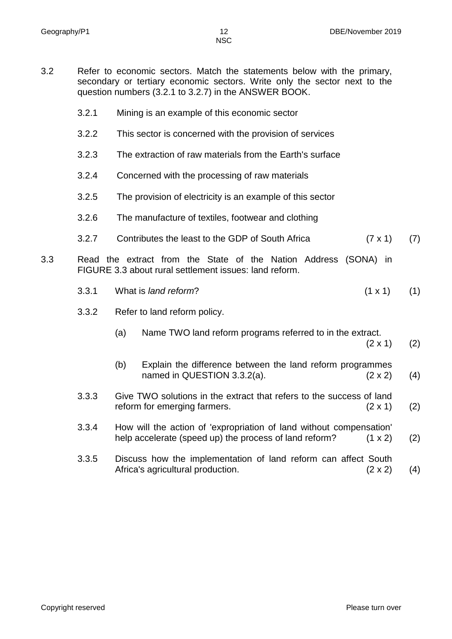- 3.2 Refer to economic sectors. Match the statements below with the primary, secondary or tertiary economic sectors. Write only the sector next to the question numbers (3.2.1 to 3.2.7) in the ANSWER BOOK.
	- 3.2.1 Mining is an example of this economic sector
	- 3.2.2 This sector is concerned with the provision of services
	- 3.2.3 The extraction of raw materials from the Earth's surface
	- 3.2.4 Concerned with the processing of raw materials
	- 3.2.5 The provision of electricity is an example of this sector
	- 3.2.6 The manufacture of textiles, footwear and clothing
	- 3.2.7 Contributes the least to the GDP of South Africa (7 x 1) (7)
- 3.3 Read the extract from the State of the Nation Address (SONA) in FIGURE 3.3 about rural settlement issues: land reform.
	- 3.3.1 What is *land reform*? (1 x 1) (1)
	- 3.3.2 Refer to land reform policy.
		- (a) Name TWO land reform programs referred to in the extract.
			- $(2 \times 1)$  (2)
		- (b) Explain the difference between the land reform programmes named in QUESTION  $3.3.2(a)$ . (2 x 2) (4)
	- 3.3.3 Give TWO solutions in the extract that refers to the success of land reform for emerging farmers.  $(2 \times 1)$  (2)
	- 3.3.4 How will the action of 'expropriation of land without compensation' help accelerate (speed up) the process of land reform?  $(1 \times 2)$  (2)
	- 3.3.5 Discuss how the implementation of land reform can affect South Africa's agricultural production. (2 x 2) (4)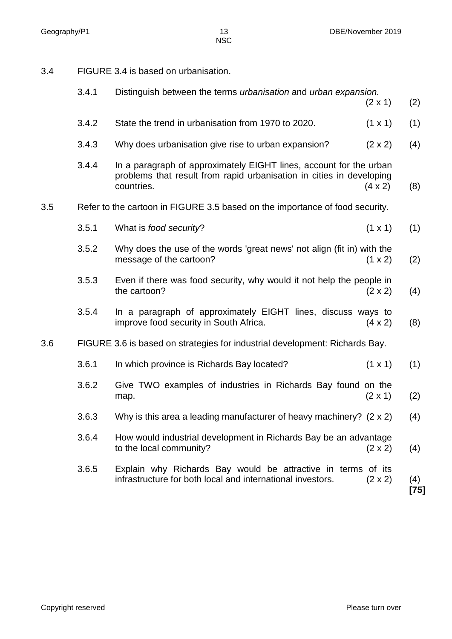3.4 FIGURE 3.4 is based on urbanisation.

|     | 3.4.1 | Distinguish between the terms urbanisation and urban expansion.                                                                                          | $(2 \times 1)$ | (2)         |
|-----|-------|----------------------------------------------------------------------------------------------------------------------------------------------------------|----------------|-------------|
|     | 3.4.2 | State the trend in urbanisation from 1970 to 2020.                                                                                                       | $(1 \times 1)$ | (1)         |
|     | 3.4.3 | Why does urbanisation give rise to urban expansion?                                                                                                      | $(2 \times 2)$ | (4)         |
|     | 3.4.4 | In a paragraph of approximately EIGHT lines, account for the urban<br>problems that result from rapid urbanisation in cities in developing<br>countries. | $(4 \times 2)$ | (8)         |
| 3.5 |       | Refer to the cartoon in FIGURE 3.5 based on the importance of food security.                                                                             |                |             |
|     | 3.5.1 | What is food security?                                                                                                                                   | $(1 \times 1)$ | (1)         |
|     | 3.5.2 | Why does the use of the words 'great news' not align (fit in) with the<br>message of the cartoon?                                                        | (1 x 2)        | (2)         |
|     | 3.5.3 | Even if there was food security, why would it not help the people in<br>the cartoon?                                                                     | $(2 \times 2)$ | (4)         |
|     | 3.5.4 | In a paragraph of approximately EIGHT lines, discuss ways to<br>improve food security in South Africa.                                                   | $(4 \times 2)$ | (8)         |
| 3.6 |       | FIGURE 3.6 is based on strategies for industrial development: Richards Bay.                                                                              |                |             |
|     | 3.6.1 | In which province is Richards Bay located?                                                                                                               | $(1 \times 1)$ | (1)         |
|     | 3.6.2 | Give TWO examples of industries in Richards Bay found on the<br>map.                                                                                     | $(2 \times 1)$ | (2)         |
|     | 3.6.3 | Why is this area a leading manufacturer of heavy machinery? $(2 \times 2)$                                                                               |                | (4)         |
|     | 3.6.4 | How would industrial development in Richards Bay be an advantage<br>to the local community?                                                              | $(2 \times 2)$ | (4)         |
|     | 3.6.5 | Explain why Richards Bay would be attractive in terms of its<br>infrastructure for both local and international investors.                               | $(2 \times 2)$ | (4)<br>[75] |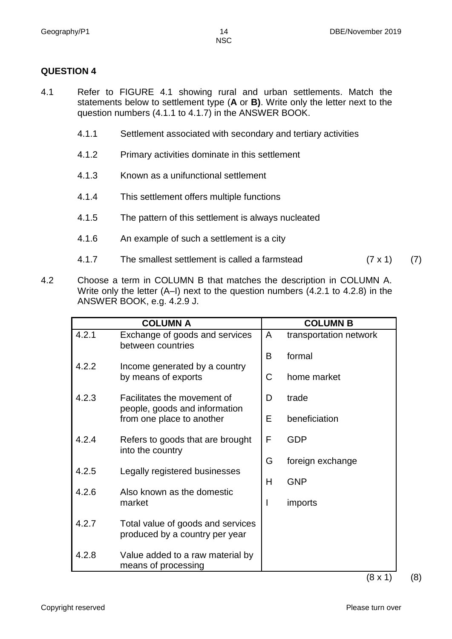# **QUESTION 4**

- 4.1 Refer to FIGURE 4.1 showing rural and urban settlements. Match the statements below to settlement type (**A** or **B)**. Write only the letter next to the question numbers (4.1.1 to 4.1.7) in the ANSWER BOOK.
	- 4.1.1 Settlement associated with secondary and tertiary activities
	- 4.1.2 Primary activities dominate in this settlement
	- 4.1.3 Known as a unifunctional settlement
	- 4.1.4 This settlement offers multiple functions
	- 4.1.5 The pattern of this settlement is always nucleated
	- 4.1.6 An example of such a settlement is a city
	- 4.1.7 The smallest settlement is called a farmstead (7 x 1) (7)
- 4.2 Choose a term in COLUMN B that matches the description in COLUMN A. Write only the letter (A–I) next to the question numbers (4.2.1 to 4.2.8) in the ANSWER BOOK, e.g. 4.2.9 J.

|       | <b>COLUMN A</b>                                                     |    | <b>COLUMN B</b>        |
|-------|---------------------------------------------------------------------|----|------------------------|
| 4.2.1 | Exchange of goods and services<br>between countries                 | A  | transportation network |
|       |                                                                     | B  | formal                 |
| 4.2.2 | Income generated by a country<br>by means of exports                | C  | home market            |
| 4.2.3 | Facilitates the movement of                                         | D  | trade                  |
|       | people, goods and information<br>from one place to another          | E. | beneficiation          |
| 4.2.4 | Refers to goods that are brought<br>into the country                | F  | GDP                    |
|       |                                                                     | G  | foreign exchange       |
| 4.2.5 | Legally registered businesses                                       | H  | <b>GNP</b>             |
| 4.2.6 | Also known as the domestic<br>market                                | ı  | <i>imports</i>         |
| 4.2.7 | Total value of goods and services<br>produced by a country per year |    |                        |
| 4.2.8 | Value added to a raw material by<br>means of processing             |    |                        |

 $(8 \times 1)$  (8)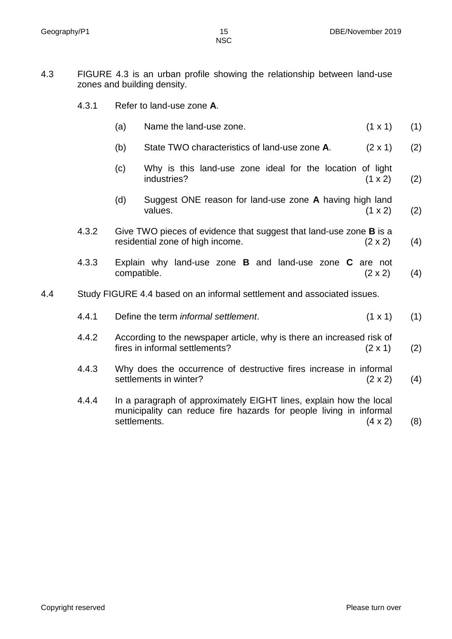- 4.3 FIGURE 4.3 is an urban profile showing the relationship between land-use zones and building density.
	- 4.3.1 Refer to land-use zone **A**.
		- (a) Name the land-use zone.  $(1 \times 1)$  (1)
		- (b) State TWO characteristics of land-use zone **A**. (2 x 1) (2)
		- (c) Why is this land-use zone ideal for the location of light  $industries?$  (1 x 2) (2)
		- (d) Suggest ONE reason for land-use zone **A** having high land values.  $(1 \times 2)$  (2)
	- 4.3.2 Give TWO pieces of evidence that suggest that land-use zone **B** is a residential zone of high income.  $(2 \times 2)$  (4)
	- 4.3.3 Explain why land-use zone **B** and land-use zone **C** are not compatible.  $(2 \times 2)$  (4)
- 4.4 Study FIGURE 4.4 based on an informal settlement and associated issues.

| 4.4.1 | Define the term <i>informal</i> settlement. | $(1 \times 1)$ (1) |  |
|-------|---------------------------------------------|--------------------|--|
|       |                                             |                    |  |

- 4.4.2 According to the newspaper article, why is there an increased risk of fires in informal settlements?  $(2 \times 1)$  (2)
- 4.4.3 Why does the occurrence of destructive fires increase in informal settlements in winter?  $(2 \times 2)$  (4)
- 4.4.4 In a paragraph of approximately EIGHT lines, explain how the local municipality can reduce fire hazards for people living in informal settlements.  $(4 \times 2)$  (8)

Copyright reserved **Please turn over the Copyright reserved** Please turn over